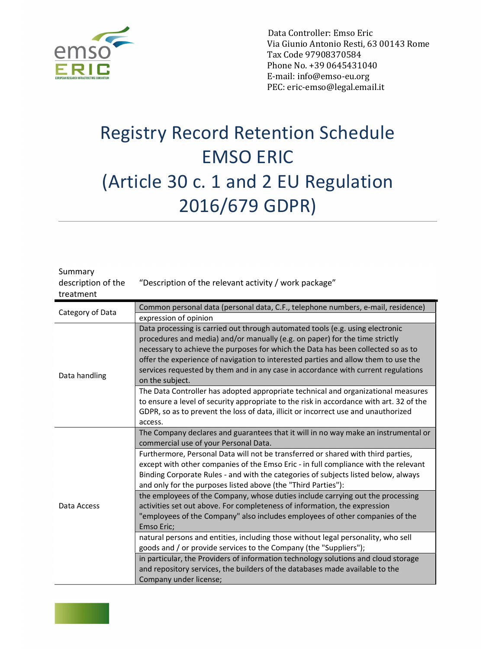

 Data Controller: Emso Eric Via Giunio Antonio Resti, 63 00143 Rome Tax Code 97908370584 Phone No. +39 0645431040 E-mail: info@emso-eu.org PEC: eric-emso@legal.email.it

## Registry Record Retention Schedule EMSO ERIC (Article 30 c. 1 and 2 EU Regulation 2016/679 GDPR)

| Summary<br>description of the<br>treatment | "Description of the relevant activity / work package"                                   |
|--------------------------------------------|-----------------------------------------------------------------------------------------|
| Category of Data                           | Common personal data (personal data, C.F., telephone numbers, e-mail, residence)        |
|                                            | expression of opinion                                                                   |
|                                            | Data processing is carried out through automated tools (e.g. using electronic           |
|                                            | procedures and media) and/or manually (e.g. on paper) for the time strictly             |
|                                            | necessary to achieve the purposes for which the Data has been collected so as to        |
|                                            | offer the experience of navigation to interested parties and allow them to use the      |
| Data handling                              | services requested by them and in any case in accordance with current regulations       |
|                                            | on the subject.                                                                         |
|                                            | The Data Controller has adopted appropriate technical and organizational measures       |
|                                            | to ensure a level of security appropriate to the risk in accordance with art. 32 of the |
|                                            | GDPR, so as to prevent the loss of data, illicit or incorrect use and unauthorized      |
|                                            | access.                                                                                 |
|                                            | The Company declares and guarantees that it will in no way make an instrumental or      |
|                                            | commercial use of your Personal Data.                                                   |
|                                            | Furthermore, Personal Data will not be transferred or shared with third parties,        |
|                                            | except with other companies of the Emso Eric - in full compliance with the relevant     |
| Data Access                                | Binding Corporate Rules - and with the categories of subjects listed below, always      |
|                                            | and only for the purposes listed above (the "Third Parties"):                           |
|                                            | the employees of the Company, whose duties include carrying out the processing          |
|                                            | activities set out above. For completeness of information, the expression               |
|                                            | "employees of the Company" also includes employees of other companies of the            |
|                                            | Emso Eric;                                                                              |
|                                            | natural persons and entities, including those without legal personality, who sell       |
|                                            | goods and / or provide services to the Company (the "Suppliers");                       |
|                                            | in particular, the Providers of information technology solutions and cloud storage      |
|                                            | and repository services, the builders of the databases made available to the            |
|                                            | Company under license;                                                                  |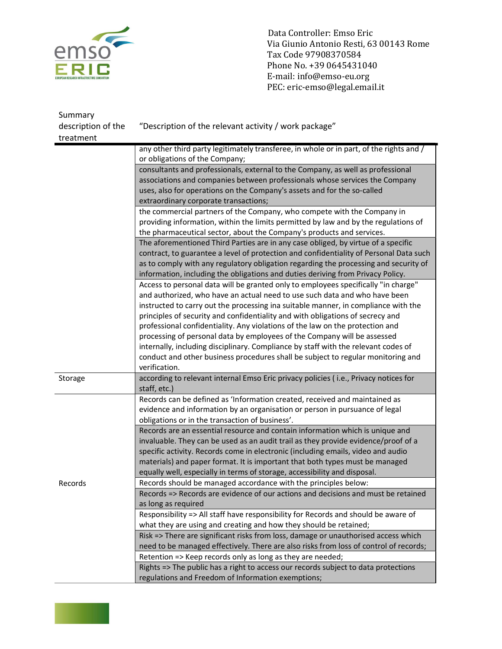

Data Controller: Emso Eric<br>
Via Giunio Antonio Resti, 63<br>
Tax Code 97908370584<br>
Phone No. +39 0645431040<br>
E-mail: info@emso-eu.org Via Giunio Antonio Resti, 63 00143 Rome Tax Code 97908370584 Phone No. +39 0645431040 E-mail: info@emso-eu.org PEC: eric-emso@legal.email.it

| Summary            |                                                                                         |
|--------------------|-----------------------------------------------------------------------------------------|
| description of the | "Description of the relevant activity / work package"                                   |
| treatment          |                                                                                         |
|                    | any other third party legitimately transferee, in whole or in part, of the rights and / |
|                    | or obligations of the Company;                                                          |
|                    | consultants and professionals, external to the Company, as well as professional         |
|                    | associations and companies between professionals whose services the Company             |
|                    | uses, also for operations on the Company's assets and for the so-called                 |
|                    | extraordinary corporate transactions;                                                   |
|                    | the commercial partners of the Company, who compete with the Company in                 |
|                    | providing information, within the limits permitted by law and by the regulations of     |
|                    | the pharmaceutical sector, about the Company's products and services.                   |
|                    | The aforementioned Third Parties are in any case obliged, by virtue of a specific       |
|                    | contract, to guarantee a level of protection and confidentiality of Personal Data such  |
|                    | as to comply with any regulatory obligation regarding the processing and security of    |
|                    | information, including the obligations and duties deriving from Privacy Policy.         |
|                    | Access to personal data will be granted only to employees specifically "in charge"      |
|                    | and authorized, who have an actual need to use such data and who have been              |
|                    | instructed to carry out the processing ina suitable manner, in compliance with the      |
|                    | principles of security and confidentiality and with obligations of secrecy and          |
|                    | professional confidentiality. Any violations of the law on the protection and           |
|                    | processing of personal data by employees of the Company will be assessed                |
|                    | internally, including disciplinary. Compliance by staff with the relevant codes of      |
|                    | conduct and other business procedures shall be subject to regular monitoring and        |
|                    | verification.                                                                           |
| Storage            | according to relevant internal Emso Eric privacy policies (i.e., Privacy notices for    |
|                    | staff, etc.)                                                                            |
|                    | Records can be defined as 'Information created, received and maintained as              |
|                    | evidence and information by an organisation or person in pursuance of legal             |
|                    | obligations or in the transaction of business'.                                         |
|                    | Records are an essential resource and contain information which is unique and           |
|                    | invaluable. They can be used as an audit trail as they provide evidence/proof of a      |
|                    | specific activity. Records come in electronic (including emails, video and audio        |
|                    | materials) and paper format. It is important that both types must be managed            |
|                    | equally well, especially in terms of storage, accessibility and disposal.               |
| Records            | Records should be managed accordance with the principles below:                         |
|                    | Records => Records are evidence of our actions and decisions and must be retained       |
|                    | as long as required                                                                     |
|                    | Responsibility => All staff have responsibility for Records and should be aware of      |
|                    | what they are using and creating and how they should be retained;                       |
|                    | Risk => There are significant risks from loss, damage or unauthorised access which      |
|                    | need to be managed effectively. There are also risks from loss of control of records;   |
|                    | Retention => Keep records only as long as they are needed;                              |
|                    | Rights => The public has a right to access our records subject to data protections      |
|                    | regulations and Freedom of Information exemptions;                                      |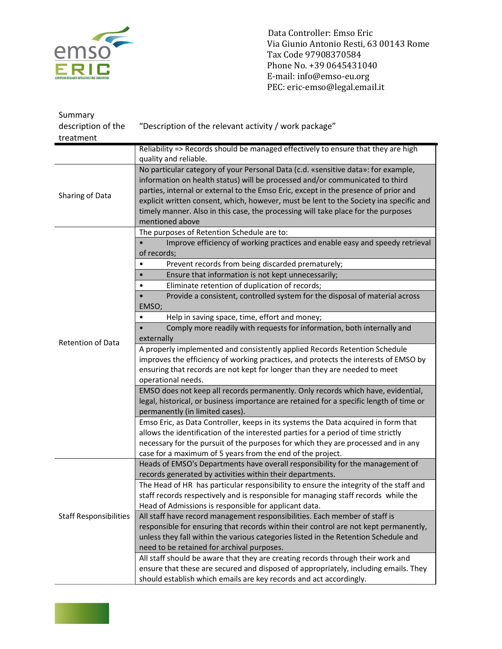

Data Controller: Emso Eric<br>
Via Giunio Antonio Resti, 63<br>
Tax Code 97908370584<br>
Phone No. +39 0645431040<br>
E-mail: info@emso-eu.org Via Giunio Antonio Resti, 63 00143 Rome Tax Code 97908370584 Phone No. +39 0645431040 E-mail: info@emso-eu.org PEC: eric-emso@legal.email.it

| Summary                       |                                                                                         |
|-------------------------------|-----------------------------------------------------------------------------------------|
| description of the            | "Description of the relevant activity / work package"                                   |
| treatment                     |                                                                                         |
|                               | Reliability => Records should be managed effectively to ensure that they are high       |
|                               | quality and reliable.                                                                   |
| Sharing of Data               | No particular category of your Personal Data (c.d. «sensitive data»: for example,       |
|                               | information on health status) will be processed and/or communicated to third            |
|                               | parties, internal or external to the Emso Eric, except in the presence of prior and     |
|                               | explicit written consent, which, however, must be lent to the Society ina specific and  |
|                               | timely manner. Also in this case, the processing will take place for the purposes       |
|                               | mentioned above                                                                         |
|                               | The purposes of Retention Schedule are to:                                              |
|                               | Improve efficiency of working practices and enable easy and speedy retrieval            |
|                               | of records;                                                                             |
|                               | Prevent records from being discarded prematurely;                                       |
|                               | Ensure that information is not kept unnecessarily;                                      |
|                               | Eliminate retention of duplication of records;                                          |
|                               | Provide a consistent, controlled system for the disposal of material across             |
|                               | EMSO;                                                                                   |
|                               | Help in saving space, time, effort and money;                                           |
|                               | Comply more readily with requests for information, both internally and                  |
|                               | externally                                                                              |
| <b>Retention of Data</b>      | A properly implemented and consistently applied Records Retention Schedule              |
|                               | improves the efficiency of working practices, and protects the interests of EMSO by     |
|                               | ensuring that records are not kept for longer than they are needed to meet              |
|                               | operational needs.                                                                      |
|                               | EMSO does not keep all records permanently. Only records which have, evidential,        |
|                               | legal, historical, or business importance are retained for a specific length of time or |
|                               | permanently (in limited cases).                                                         |
|                               | Emso Eric, as Data Controller, keeps in its systems the Data acquired in form that      |
|                               | allows the identification of the interested parties for a period of time strictly       |
|                               | necessary for the pursuit of the purposes for which they are processed and in any       |
|                               | case for a maximum of 5 years from the end of the project.                              |
| <b>Staff Responsibilities</b> | Heads of EMSO's Departments have overall responsibility for the management of           |
|                               | records generated by activities within their departments.                               |
|                               | The Head of HR has particular responsibility to ensure the integrity of the staff and   |
|                               | staff records respectively and is responsible for managing staff records while the      |
|                               | Head of Admissions is responsible for applicant data.                                   |
|                               | All staff have record management responsibilities. Each member of staff is              |
|                               | responsible for ensuring that records within their control are not kept permanently,    |
|                               | unless they fall within the various categories listed in the Retention Schedule and     |
|                               | need to be retained for archival purposes.                                              |
|                               | All staff should be aware that they are creating records through their work and         |
|                               | ensure that these are secured and disposed of appropriately, including emails. They     |
|                               | should establish which emails are key records and act accordingly.                      |